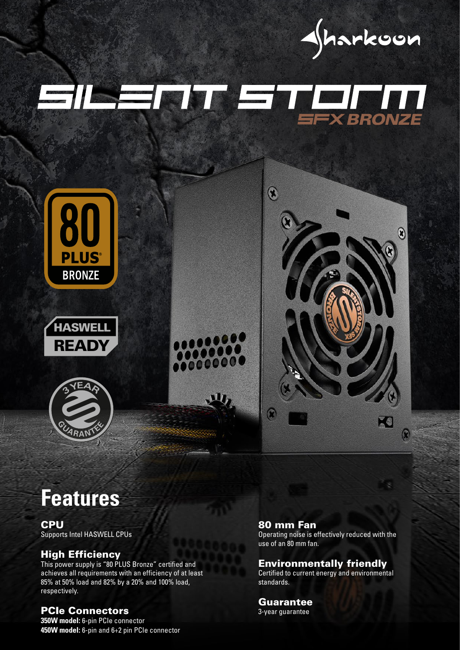

# EILELIT ETHEIN











# **Features**

# **CPU**

Supports Intel HASWELL CPUs

#### High Efficiency

This power supply is "80 PLUS Bronze" certified and achieves all requirements with an efficiency of at least 85% at 50% load and 82% by a 20% and 100% load, respectively.

#### PCIe Connectors

**350W model:** 6-pin PCIe connector **450W model:** 6-pin and 6+2 pin PCIe connector

#### 80 mm Fan

Operating noise is effectively reduced with the use of an 80 mm fan.

## Environmentally friendly

Certified to current energy and environmental standards.

## **Guarantee**

3-year guarantee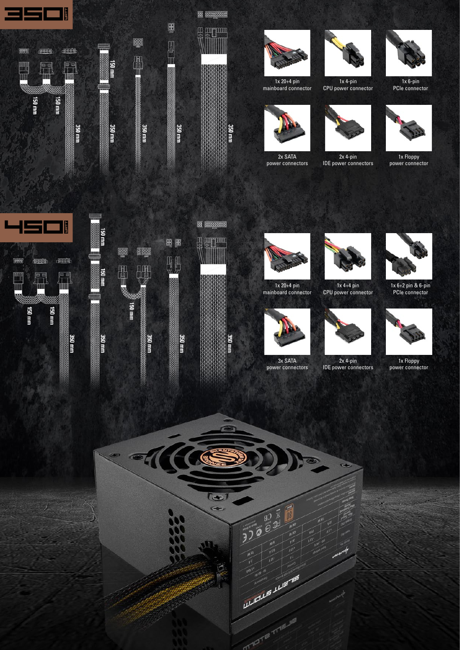